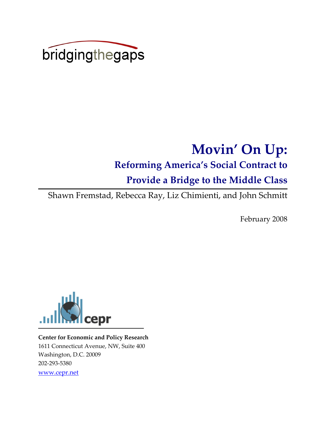

# Movin' On Up:

## Reforming America's Social Contract to

# Provide a Bridge to the Middle Class

Shawn Fremstad, Rebecca Ray, Liz Chimienti, and John Schmitt

February 2008



Center for Economic and Policy Research 1611 Connecticut Avenue, NW, Suite 400 Washington, D.C. 20009 202-293-5380 www.cepr.net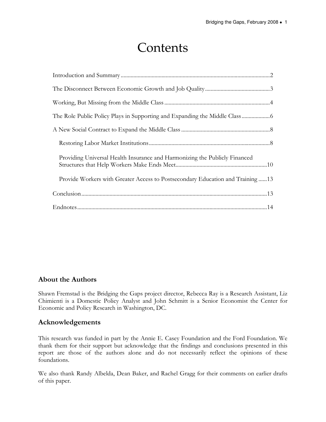# Contents

| Providing Universal Health Insurance and Harmonizing the Publicly Financed    |
|-------------------------------------------------------------------------------|
| Provide Workers with Greater Access to Postsecondary Education and Training13 |
|                                                                               |
|                                                                               |

#### About the Authors

Shawn Fremstad is the Bridging the Gaps project director, Rebecca Ray is a Research Assistant, Liz Chimienti is a Domestic Policy Analyst and John Schmitt is a Senior Economist the Center for Economic and Policy Research in Washington, DC.

#### Acknowledgements

This research was funded in part by the Annie E. Casey Foundation and the Ford Foundation. We thank them for their support but acknowledge that the findings and conclusions presented in this report are those of the authors alone and do not necessarily reflect the opinions of these foundations.

We also thank Randy Albelda, Dean Baker, and Rachel Gragg for their comments on earlier drafts of this paper.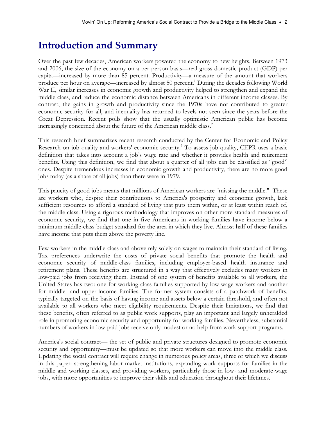# Introduction and Summary

Over the past few decades, American workers powered the economy to new heights. Between 1973 and 2006, the size of the economy on a per person basis—real gross domestic product (GDP) per capita—increased by more than 85 percent. Productivity—a measure of the amount that workers produce per hour on average—increased by almost 50 percent.<sup>1</sup> During the decades following World War II, similar increases in economic growth and productivity helped to strengthen and expand the middle class, and reduce the economic distance between Americans in different income classes. By contrast, the gains in growth and productivity since the 1970s have not contributed to greater economic security for all, and inequality has returned to levels not seen since the years before the Great Depression. Recent polls show that the usually optimistic American public has become increasingly concerned about the future of the American middle class.<sup>2</sup>

This research brief summarizes recent research conducted by the Center for Economic and Policy Research on job quality and workers' economic security.<sup>3</sup> To assess job quality, CEPR uses a basic definition that takes into account a job's wage rate and whether it provides health and retirement benefits. Using this definition, we find that about a quarter of all jobs can be classified as "good" ones. Despite tremendous increases in economic growth and productivity, there are no more good jobs today (as a share of all jobs) than there were in 1979.

This paucity of good jobs means that millions of American workers are "missing the middle." These are workers who, despite their contributions to America's prosperity and economic growth, lack sufficient resources to afford a standard of living that puts them within, or at least within reach of, the middle class. Using a rigorous methodology that improves on other more standard measures of economic security, we find that one in five Americans in working families have income below a minimum middle-class budget standard for the area in which they live. Almost half of these families have income that puts them above the poverty line.

Few workers in the middle-class and above rely solely on wages to maintain their standard of living. Tax preferences underwrite the costs of private social benefits that promote the health and economic security of middle-class families, including employer-based health insurance and retirement plans. These benefits are structured in a way that effectively excludes many workers in low-paid jobs from receiving them. Instead of one system of benefits available to all workers, the United States has two: one for working class families supported by low-wage workers and another for middle- and upper-income families. The former system consists of a patchwork of benefits, typically targeted on the basis of having income and assets below a certain threshold, and often not available to all workers who meet eligibility requirements. Despite their limitations, we find that these benefits, often referred to as public work supports, play an important and largely unheralded role in promoting economic security and opportunity for working families. Nevertheless, substantial numbers of workers in low-paid jobs receive only modest or no help from work support programs.

America's social contract— the set of public and private structures designed to promote economic security and opportunity—must be updated so that more workers can move into the middle class. Updating the social contract will require change in numerous policy areas, three of which we discuss in this paper: strengthening labor market institutions, expanding work supports for families in the middle and working classes, and providing workers, particularly those in low- and moderate-wage jobs, with more opportunities to improve their skills and education throughout their lifetimes.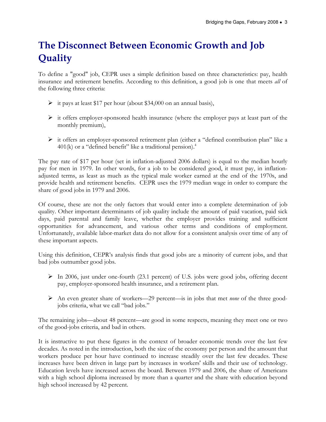# The Disconnect Between Economic Growth and Job **Quality**

To define a "good" job, CEPR uses a simple definition based on three characteristics: pay, health insurance and retirement benefits. According to this definition, a good job is one that meets all of the following three criteria:

- $\triangleright$  it pays at least \$17 per hour (about \$34,000 on an annual basis),
- $\triangleright$  it offers employer-sponsored health insurance (where the employer pays at least part of the monthly premium),
- $\triangleright$  it offers an employer-sponsored retirement plan (either a "defined contribution plan" like a 401(k) or a "defined benefit" like a traditional pension).<sup>4</sup>

The pay rate of \$17 per hour (set in inflation-adjusted 2006 dollars) is equal to the median hourly pay for men in 1979. In other words, for a job to be considered good, it must pay, in inflationadjusted terms, as least as much as the typical male worker earned at the end of the 1970s, and provide health and retirement benefits. CEPR uses the 1979 median wage in order to compare the share of good jobs in 1979 and 2006.

Of course, these are not the only factors that would enter into a complete determination of job quality. Other important determinants of job quality include the amount of paid vacation, paid sick days, paid parental and family leave, whether the employer provides training and sufficient opportunities for advancement, and various other terms and conditions of employment. Unfortunately, available labor-market data do not allow for a consistent analysis over time of any of these important aspects.

Using this definition, CEPR's analysis finds that good jobs are a minority of current jobs, and that bad jobs outnumber good jobs.

- $\triangleright$  In 2006, just under one-fourth (23.1 percent) of U.S. jobs were good jobs, offering decent pay, employer-sponsored health insurance, and a retirement plan.
- An even greater share of workers—29 percent—is in jobs that met *none* of the three goodjobs criteria, what we call "bad jobs."

The remaining jobs—about 48 percent—are good in some respects, meaning they meet one or two of the good-jobs criteria, and bad in others.

It is instructive to put these figures in the context of broader economic trends over the last few decades. As noted in the introduction, both the size of the economy per person and the amount that workers produce per hour have continued to increase steadily over the last few decades. These increases have been driven in large part by increases in workers' skills and their use of technology. Education levels have increased across the board. Between 1979 and 2006, the share of Americans with a high school diploma increased by more than a quarter and the share with education beyond high school increased by 42 percent.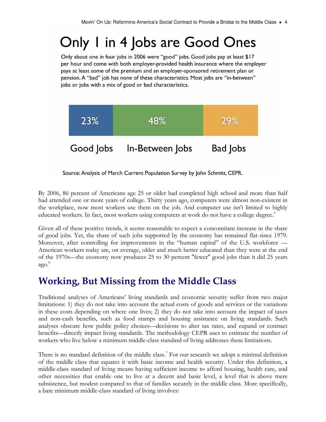# Only 1 in 4 Jobs are Good Ones

Only about one in four jobs in 2006 were "good" jobs. Good jobs pay at least \$17 per hour and come with both employer-provided health insurance where the employer pays at least some of the premium and an employer-sponsored retirement plan or pension. A "bad" job has none of these characteristics. Most jobs are "in-between" jobs or jobs with a mix of good or bad characteristics.



Source: Analysis of March Current Population Survey by John Schmitt, CEPR.

By 2006, 86 percent of Americans age 25 or older had completed high school and more than half had attended one or more years of college. Thirty years ago, computers were almost non-existent in the workplace, now most workers use them on the job. And computer use isn't limited to highly educated workers. In fact, most workers using computers at work do not have a college degree.<sup>5</sup>

Given all of these positive trends, it seems reasonable to expect a concomitant increase in the share of good jobs. Yet, the share of such jobs supported by the economy has remained flat since 1979. Moreover, after controlling for improvements in the "human capital" of the U.S. workforce — American workers today are, on average, older and much better educated than they were at the end of the 1970s—the economy now produces 25 to 30 percent ''fewer'' good jobs than it did 25 years ago. 6

## Working, But Missing from the Middle Class

Traditional analyses of Americans' living standards and economic security suffer from two major limitations: 1) they do not take into account the actual costs of goods and services or the variations in these costs depending on where one lives; 2) they do not take into account the impact of taxes and non-cash benefits, such as food stamps and housing assistance on living standards. Such analyses obscure how public policy choices—decisions to alter tax rates, and expand or contract benefits—directly impact living standards. The methodology CEPR uses to estimate the number of workers who live below a minimum middle-class standard of living addresses these limitations.

There is no standard definition of the middle class.<sup>7</sup> For our research we adopt a minimal definition of the middle class that equates it with basic income and health security. Under this definition, a middle-class standard of living means having sufficient income to afford housing, health care, and other necessities that enable one to live at a decent and basic level, a level that is above mere subsistence, but modest compared to that of families securely in the middle class. More specifically, a bare minimum middle-class standard of living involves: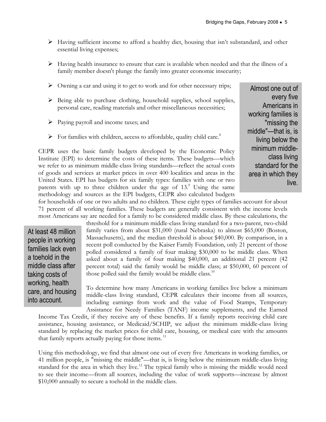- $\triangleright$  Having sufficient income to afford a healthy diet, housing that isn't substandard, and other essential living expenses;
- $\triangleright$  Having health insurance to ensure that care is available when needed and that the illness of a family member doesn't plunge the family into greater economic insecurity;
- $\triangleright$  Owning a car and using it to get to work and for other necessary trips;
- $\triangleright$  Being able to purchase clothing, household supplies, school supplies, personal care, reading materials and other miscellaneous necessities;
- $\triangleright$  Paying payroll and income taxes; and
- $\triangleright$  For families with children, access to affordable, quality child care.<sup>8</sup>

CEPR uses the basic family budgets developed by the Economic Policy Institute (EPI) to determine the costs of these items. These budgets—which we refer to as minimum middle-class living standards—reflect the actual costs of goods and services at market prices in over 400 localities and areas in the United States. EPI has budgets for six family types: families with one or two parents with up to three children under the age of 13.<sup>9</sup> Using the same methodology and sources as the EPI budgets, CEPR also calculated budgets

Almost one out of every five Americans in working families is "missing the middle"—that is, is living below the minimum middleclass living standard for the area in which they live.

for households of one or two adults and no children. These eight types of families account for about 71 percent of all working families. These budgets are generally consistent with the income levels most Americans say are needed for a family to be considered middle class. By these calculations, the

At least 48 million people in working families lack even a toehold in the middle class after taking costs of working, health care, and housing into account.

threshold for a minimum middle-class living standard for a two-parent, two-child family varies from about \$31,000 (rural Nebraska) to almost \$65,000 (Boston, Massachusetts), and the median threshold is about \$40,000. By comparison, in a recent poll conducted by the Kaiser Family Foundation, only 21 percent of those polled considered a family of four making \$30,000 to be middle class. When asked about a family of four making \$40,000, an additional 21 percent (42 percent total) said the family would be middle class; at \$50,000, 60 percent of those polled said the family would be middle class. $10$ 

To determine how many Americans in working families live below a minimum middle-class living standard, CEPR calculates their income from all sources, including earnings from work and the value of Food Stamps, Temporary Assistance for Needy Families (TANF) income supplements, and the Earned

Income Tax Credit, if they receive any of these benefits. If a family reports receiving child care assistance, housing assistance, or Medicaid/SCHIP, we adjust the minimum middle-class living standard by replacing the market prices for child care, housing, or medical care with the amounts that family reports actually paying for those items.<sup>11</sup>

Using this methodology, we find that almost one out of every five Americans in working families, or 41 million people, is "missing the middle"—that is, is living below the minimum middle-class living standard for the area in which they live.<sup>12</sup> The typical family who is missing the middle would need to see their income—from all sources, including the value of work supports—increase by almost \$10,000 annually to secure a toehold in the middle class.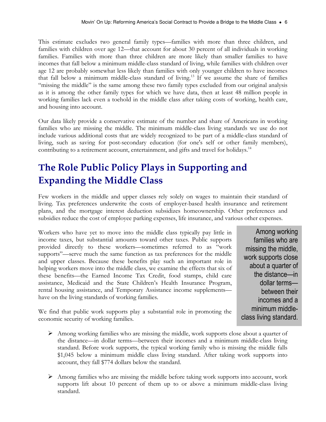This estimate excludes two general family types—families with more than three children, and families with children over age 12—that account for about 30 percent of all individuals in working families. Families with more than three children are more likely than smaller families to have incomes that fall below a minimum middle-class standard of living, while families with children over age 12 are probably somewhat less likely than families with only younger children to have incomes that fall below a minimum middle-class standard of living.<sup>13</sup> If we assume the share of families "missing the middle" is the same among these two family types excluded from our original analysis as it is among the other family types for which we have data, then at least 48 million people in working families lack even a toehold in the middle class after taking costs of working, health care, and housing into account.

Our data likely provide a conservative estimate of the number and share of Americans in working families who are missing the middle. The minimum middle-class living standards we use do not include various additional costs that are widely recognized to be part of a middle-class standard of living, such as saving for post-secondary education (for one's self or other family members), contributing to a retirement account, entertainment, and gifts and travel for holidays.<sup>14</sup>

# The Role Public Policy Plays in Supporting and Expanding the Middle Class

Few workers in the middle and upper classes rely solely on wages to maintain their standard of living. Tax preferences underwrite the costs of employer-based health insurance and retirement plans, and the mortgage interest deduction subsidizes homeownership. Other preferences and subsidies reduce the cost of employee parking expenses, life insurance, and various other expenses.

Workers who have yet to move into the middle class typically pay little in income taxes, but substantial amounts toward other taxes. Public supports provided directly to these workers—sometimes referred to as "work supports"—serve much the same function as tax preferences for the middle and upper classes. Because these benefits play such an important role in helping workers move into the middle class, we examine the effects that six of these benefits—the Earned Income Tax Credit, food stamps, child care assistance, Medicaid and the State Children's Health Insurance Program, rental housing assistance, and Temporary Assistance income supplements have on the living standards of working families.

Among working families who are missing the middle, work supports close about a quarter of the distance—in dollar terms between their incomes and a minimum middleclass living standard.

We find that public work supports play a substantial role in promoting the economic security of working families.

- $\triangleright$  Among working families who are missing the middle, work supports close about a quarter of the distance—in dollar terms—between their incomes and a minimum middle-class living standard. Before work supports, the typical working family who is missing the middle falls \$1,045 below a minimum middle class living standard. After taking work supports into account, they fall \$774 dollars below the standard.
- Among families who are missing the middle before taking work supports into account, work supports lift about 10 percent of them up to or above a minimum middle-class living standard.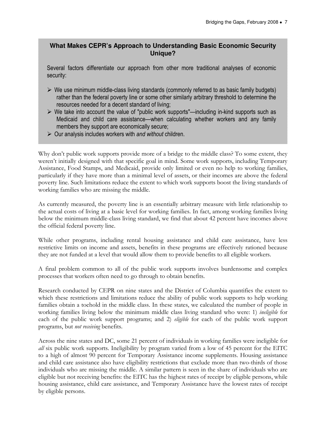#### **What Makes CEPR's Approach to Understanding Basic Economic Security Unique?**

Several factors differentiate our approach from other more traditional analyses of economic security:

- $\triangleright$  We use minimum middle-class living standards (commonly referred to as basic family budgets) rather than the federal poverty line or some other similarly arbitrary threshold to determine the resources needed for a decent standard of living;
- $\triangleright$  We take into account the value of "public work supports"—including in-kind supports such as Medicaid and child care assistance—when calculating whether workers and any family members they support are economically secure;
- $\triangleright$  Our analysis includes workers with and without children.

Why don't public work supports provide more of a bridge to the middle class? To some extent, they weren't initially designed with that specific goal in mind. Some work supports, including Temporary Assistance, Food Stamps, and Medicaid, provide only limited or even no help to working families, particularly if they have more than a minimal level of assets, or their incomes are above the federal poverty line. Such limitations reduce the extent to which work supports boost the living standards of working families who are missing the middle.

As currently measured, the poverty line is an essentially arbitrary measure with little relationship to the actual costs of living at a basic level for working families. In fact, among working families living below the minimum middle-class living standard, we find that about 42 percent have incomes above the official federal poverty line.

While other programs, including rental housing assistance and child care assistance, have less restrictive limits on income and assets, benefits in these programs are effectively rationed because they are not funded at a level that would allow them to provide benefits to all eligible workers.

A final problem common to all of the public work supports involves burdensome and complex processes that workers often need to go through to obtain benefits.

Research conducted by CEPR on nine states and the District of Columbia quantifies the extent to which these restrictions and limitations reduce the ability of public work supports to help working families obtain a toehold in the middle class. In these states, we calculated the number of people in working families living below the minimum middle class living standard who were: 1) ineligible for each of the public work support programs; and 2) *eligible* for each of the public work support programs, but not receiving benefits.

Across the nine states and DC, some 21 percent of individuals in working families were ineligible for all six public work supports. Ineligibility by program varied from a low of 45 percent for the EITC to a high of almost 90 percent for Temporary Assistance income supplements. Housing assistance and child care assistance also have eligibility restrictions that exclude more than two-thirds of those individuals who are missing the middle. A similar pattern is seen in the share of individuals who are eligible but not receiving benefits: the EITC has the highest rates of receipt by eligible persons, while housing assistance, child care assistance, and Temporary Assistance have the lowest rates of receipt by eligible persons.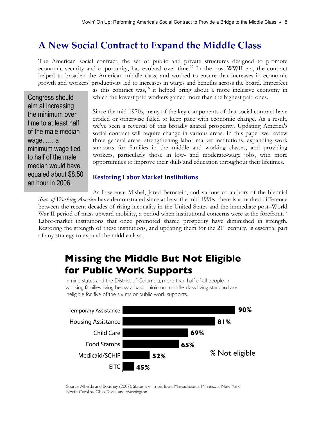## A New Social Contract to Expand the Middle Class

The American social contract, the set of public and private structures designed to promote economic security and opportunity, has evolved over time.<sup>15</sup> In the post-WWII era, the contract helped to broaden the American middle class, and worked to ensure that increases in economic growth and workers' productivity led to increases in wages and benefits across the board. Imperfect

Congress should aim at increasing the minimum over time to at least half of the male median wage. …. a minimum wage tied to half of the male median would have equaled about \$8.50 an hour in 2006.

as this contract was,<sup>16</sup> it helped bring about a more inclusive economy in which the lowest paid workers gained more than the highest paid ones.

Since the mid-1970s, many of the key components of that social contract have eroded or otherwise failed to keep pace with economic change. As a result, we've seen a reversal of this broadly shared prosperity. Updating America's social contract will require change in various areas. In this paper we review three general areas: strengthening labor market institutions, expanding work supports for families in the middle and working classes, and providing workers, particularly those in low- and moderate-wage jobs, with more opportunities to improve their skills and education throughout their lifetimes.

#### Restoring Labor Market Institutions

As Lawrence Mishel, Jared Bernstein, and various co-authors of the biennial State of Working America have demonstrated since at least the mid-1990s, there is a marked difference between the recent decades of rising inequality in the United States and the immediate post–World War II period of mass upward mobility, a period when institutional concerns were at the forefront.<sup>17</sup> Labor-market institutions that once promoted shared prosperity have diminished in strength. Restoring the strength of these institutions, and updating them for the 21<sup>st</sup> century, is essential part of any strategy to expand the middle class.

## **Missing the Middle But Not Eligible** for Public Work Supports

In nine states and the District of Columbia, more than half of all people in working families living below a basic minimum middle-class living standard are ineligible for five of the six major public work supports.



Source: Albelda and Boushey (2007). States are Illinois, Iowa, Massachusetts, Minnesota, New York, North Carolina, Ohio, Texas, and Washington.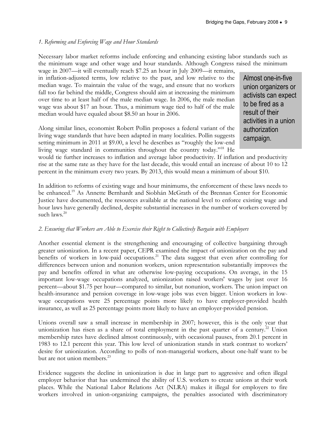#### 1. Reforming and Enforcing Wage and Hour Standards

Necessary labor market reforms include enforcing and enhancing existing labor standards such as the minimum wage and other wage and hour standards. Although Congress raised the minimum

wage in 2007—it will eventually reach \$7.25 an hour in July 2009—it remains, in inflation-adjusted terms, low relative to the past, and low relative to the median wage. To maintain the value of the wage, and ensure that no workers fall too far behind the middle, Congress should aim at increasing the minimum over time to at least half of the male median wage. In 2006, the male median wage was about \$17 an hour. Thus, a minimum wage tied to half of the male median would have equaled about \$8.50 an hour in 2006.

Along similar lines, economist Robert Pollin proposes a federal variant of the living wage standards that have been adapted in many localities. Pollin suggests setting minimum in 2011 at \$9.00, a level he describes as "roughly the low-end living wage standard in communities throughout the country today."<sup>18</sup> He

Almost one-in-five union organizers or activists can expect to be fired as a result of their activities in a union authorization campaign.

would tie further increases to inflation and average labor productivity. If inflation and productivity rise at the same rate as they have for the last decade, this would entail an increase of about 10 to 12 percent in the minimum every two years. By 2013, this would mean a minimum of about \$10.

In addition to reforms of existing wage and hour minimums, the enforcement of these laws needs to be enhanced.<sup>19</sup> As Annette Bernhardt and Siobhán McGrath of the Brennan Center for Economic Justice have documented, the resources available at the national level to enforce existing wage and hour laws have generally declined, despite substantial increases in the number of workers covered by such laws.<sup>20</sup>

#### 2. Ensuring that Workers are Able to Exercise their Right to Collectively Bargain with Employers

Another essential element is the strengthening and encouraging of collective bargaining through greater unionization. In a recent paper, CEPR examined the impact of unionization on the pay and benefits of workers in low-paid occupations.<sup>21</sup> The data suggest that even after controlling for differences between union and nonunion workers, union representation substantially improves the pay and benefits offered in what are otherwise low-paying occupations. On average, in the 15 important low-wage occupations analyzed, unionization raised workers' wages by just over 16 percent—about \$1.75 per hour—compared to similar, but nonunion, workers. The union impact on health-insurance and pension coverage in low-wage jobs was even bigger. Union workers in lowwage occupations were 25 percentage points more likely to have employer-provided health insurance, as well as 25 percentage points more likely to have an employer-provided pension.

Unions overall saw a small increase in membership in 2007; however, this is the only year that unionization has risen as a share of total employment in the past quarter of a century.<sup>22</sup> Union membership rates have declined almost continuously, with occasional pauses, from 20.1 percent in 1983 to 12.1 percent this year. This low level of unionization stands in stark contrast to workers' desire for unionization. According to polls of non-managerial workers, about one-half want to be but are not union members.<sup>23</sup>

Evidence suggests the decline in unionization is due in large part to aggressive and often illegal employer behavior that has undermined the ability of U.S. workers to create unions at their work places. While the National Labor Relations Act (NLRA) makes it illegal for employers to fire workers involved in union-organizing campaigns, the penalties associated with discriminatory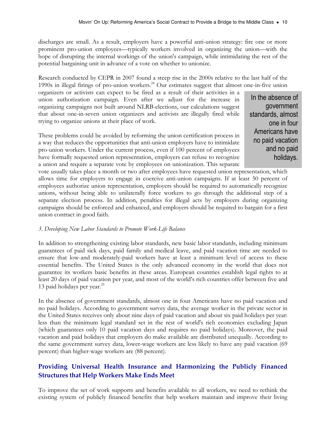discharges are small. As a result, employers have a powerful anti-union strategy: fire one or more prominent pro-union employees—typically workers involved in organizing the union—with the hope of disrupting the internal workings of the union's campaign, while intimidating the rest of the potential bargaining unit in advance of a vote on whether to unionize.

Research conducted by CEPR in 2007 found a steep rise in the 2000s relative to the last half of the 1990s in illegal firings of pro-union workers.<sup>24</sup> Our estimates suggest that almost one-in-five union

organizers or activists can expect to be fired as a result of their activities in a union authorization campaign. Even after we adjust for the increase in organizing campaigns not built around NLRB-elections, our calculations suggest that about one-in-seven union organizers and activists are illegally fired while trying to organize unions at their place of work.

These problems could be avoided by reforming the union certification process in a way that reduces the opportunities that anti-union employers have to intimidate pro-union workers. Under the current process, even if 100 percent of employees have formally requested union representation, employers can refuse to recognize a union and require a separate vote by employees on unionization. This separate

In the absence of government standards, almost one in four Americans have no paid vacation and no paid holidays.

vote usually takes place a month or two after employees have requested union representation, which allows time for employers to engage in coercive anti-union campaigns. If at least 50 percent of employees authorize union representation, employers should be required to automatically recognize unions, without being able to unilaterally force workers to go through the additional step of a separate election process. In addition, penalties for illegal acts by employers during organizing campaigns should be enforced and enhanced, and employers should be required to bargain for a first union contract in good faith.

#### 3. Developing New Labor Standards to Promote Work-Life Balance

In addition to strengthening existing labor standards, new basic labor standards, including minimum guarantees of paid sick days, paid family and medical leave, and paid vacation time are needed to ensure that low-and moderately-paid workers have at least a minimum level of access to these essential benefits. The United States is the only advanced economy in the world that does not guarantee its workers basic benefits in these areas. European countries establish legal rights to at least 20 days of paid vacation per year, and most of the world's rich countries offer between five and 13 paid holidays per year.<sup>25</sup>

In the absence of government standards, almost one in four Americans have no paid vacation and no paid holidays. According to government survey data, the average worker in the private sector in the United States receives only about nine days of paid vacation and about six paid holidays per year: less than the minimum legal standard set in the rest of world's rich economies excluding Japan (which guarantees only 10 paid vacation days and requires no paid holidays). Moreover, the paid vacation and paid holidays that employers do make available are distributed unequally. According to the same government survey data, lower-wage workers are less likely to have any paid vacation (69 percent) than higher-wage workers are (88 percent).

#### Providing Universal Health Insurance and Harmonizing the Publicly Financed Structures that Help Workers Make Ends Meet

To improve the set of work supports and benefits available to all workers, we need to rethink the existing system of publicly financed benefits that help workers maintain and improve their living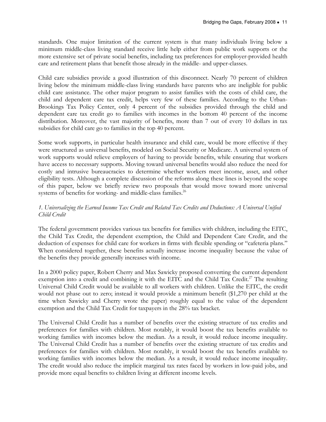standards. One major limitation of the current system is that many individuals living below a minimum middle-class living standard receive little help either from public work supports or the more extensive set of private social benefits, including tax preferences for employer-provided health care and retirement plans that benefit those already in the middle- and upper-classes.

Child care subsidies provide a good illustration of this disconnect. Nearly 70 percent of children living below the minimum middle-class living standards have parents who are ineligible for public child care assistance. The other major program to assist families with the costs of child care, the child and dependent care tax credit, helps very few of these families. According to the Urban-Brookings Tax Policy Center, only 4 percent of the subsidies provided through the child and dependent care tax credit go to families with incomes in the bottom 40 percent of the income distribution. Moreover, the vast majority of benefits, more than 7 out of every 10 dollars in tax subsidies for child care go to families in the top 40 percent.

Some work supports, in particular health insurance and child care, would be more effective if they were structured as universal benefits, modeled on Social Security or Medicare. A universal system of work supports would relieve employers of having to provide benefits, while ensuring that workers have access to necessary supports. Moving toward universal benefits would also reduce the need for costly and intrusive bureaucracies to determine whether workers meet income, asset, and other eligibility tests. Although a complete discussion of the reforms along these lines is beyond the scope of this paper, below we briefly review two proposals that would move toward more universal systems of benefits for working- and middle-class families.<sup>26</sup>

#### 1. Universalizing the Earned Income Tax Credit and Related Tax Credits and Deductions: A Universal Unified Child Credit

The federal government provides various tax benefits for families with children, including the EITC, the Child Tax Credit, the dependent exemption, the Child and Dependent Care Credit, and the deduction of expenses for child care for workers in firms with flexible spending or "cafeteria plans." When considered together, these benefits actually increase income inequality because the value of the benefits they provide generally increases with income.

In a 2000 policy paper, Robert Cherry and Max Sawicky proposed converting the current dependent exemption into a credit and combining it with the EITC and the Child Tax Credit.<sup>27</sup> The resulting Universal Child Credit would be available to all workers with children. Unlike the EITC, the credit would not phase out to zero; instead it would provide a minimum benefit (\$1,270 per child at the time when Sawicky and Cherry wrote the paper) roughly equal to the value of the dependent exemption and the Child Tax Credit for taxpayers in the 28% tax bracket.

The Universal Child Credit has a number of benefits over the existing structure of tax credits and preferences for families with children. Most notably, it would boost the tax benefits available to working families with incomes below the median. As a result, it would reduce income inequality. The Universal Child Credit has a number of benefits over the existing structure of tax credits and preferences for families with children. Most notably, it would boost the tax benefits available to working families with incomes below the median. As a result, it would reduce income inequality. The credit would also reduce the implicit marginal tax rates faced by workers in low-paid jobs, and provide more equal benefits to children living at different income levels.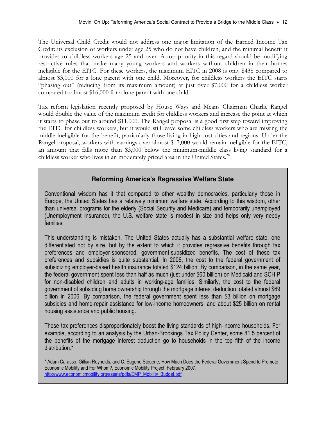The Universal Child Credit would not address one major limitation of the Earned Income Tax Credit: its exclusion of workers under age 25 who do not have children, and the minimal benefit it provides to childless workers age 25 and over. A top priority in this regard should be modifying restrictive rules that make many young workers and workers without children in their homes ineligible for the EITC. For these workers, the maximum EITC in 2008 is only \$438 compared to almost \$3,000 for a lone parent with one child. Moreover, for childless workers the EITC starts "phasing out" (reducing from its maximum amount) at just over \$7,000 for a childless worker compared to almost \$16,000 for a lone parent with one child.

Tax reform legislation recently proposed by House Ways and Means Chairman Charlie Rangel would double the value of the maximum credit for childless workers and increase the point at which it starts to phase out to around \$11,000. The Rangel proposal is a good first step toward improving the EITC for childless workers, but it would still leave some childless workers who are missing the middle ineligible for the benefit, particularly those living in high-cost cities and regions. Under the Rangel proposal, workers with earnings over almost \$17,000 would remain ineligible for the EITC, an amount that falls more than \$3,000 below the minimum-middle class living standard for a childless worker who lives in an moderately priced area in the United States.<sup>28</sup>

#### **Reforming America's Regressive Welfare State**

Conventional wisdom has it that compared to other wealthy democracies, particularly those in Europe, the United States has a relatively minimum welfare state. According to this wisdom, other than universal programs for the elderly (Social Security and Medicare) and temporarily unemployed (Unemployment Insurance), the U.S. welfare state is modest in size and helps only very needy families.

This understanding is mistaken. The United States actually has a substantial welfare state, one differentiated not by size, but by the extent to which it provides regressive benefits through tax preferences and employer-sponsored, government-subsidized benefits. The cost of these tax preferences and subsidies is quite substantial. In 2006, the cost to the federal government of subsidizing employer-based health insurance totaled \$124 billion. By comparison, in the same year, the federal government spent less than half as much (just under \$60 billion) on Medicaid and SCHIP for non-disabled children and adults in working-age families. Similarly, the cost to the federal government of subsiding home ownership through the mortgage interest deduction totaled almost \$69 billion in 2006. By comparison, the federal government spent less than \$3 billion on mortgage subsidies and home-repair assistance for low-income homeowners, and about \$25 billion on rental housing assistance and public housing.

These tax preferences disproportionately boost the living standards of high-income households. For example, according to an analysis by the Urban-Brookings Tax Policy Center, some 81.5 percent of the benefits of the mortgage interest deduction go to households in the top fifth of the income distribution.\*

<sup>\*</sup> Adam Carasso, Gillian Reynolds, and C. Eugene Steuerle, How Much Does the Federal Government Spend to Promote Economic Mobility and For Whom?, Economic Mobility Project, February 2007, http://www.economicmobility.org/assets/pdfs/EMP\_Mobiilty\_Budget.pdf.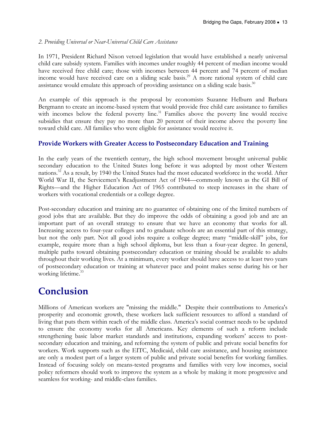#### 2. Providing Universal or Near-Universal Child Care Assistance

In 1971, President Richard Nixon vetoed legislation that would have established a nearly universal child care subsidy system. Families with incomes under roughly 44 percent of median income would have received free child care; those with incomes between 44 percent and 74 percent of median income would have received care on a sliding scale basis.<sup>29</sup> A more rational system of child care assistance would emulate this approach of providing assistance on a sliding scale basis. $30$ 

An example of this approach is the proposal by economists Suzanne Helburn and Barbara Bergmann to create an income-based system that would provide free child care assistance to families with incomes below the federal poverty line.<sup>31</sup> Families above the poverty line would receive subsidies that ensure they pay no more than 20 percent of their income above the poverty line toward child care. All families who were eligible for assistance would receive it.

#### Provide Workers with Greater Access to Postsecondary Education and Training

In the early years of the twentieth century, the high school movement brought universal public secondary education to the United States long before it was adopted by most other Western nations.<sup>32</sup> As a result, by 1940 the United States had the most educated workforce in the world. After World War II, the Servicemen's Readjustment Act of 1944—commonly known as the GI Bill of Rights—and the Higher Education Act of 1965 contributed to steep increases in the share of workers with vocational credentials or a college degree.

Post-secondary education and training are no guarantee of obtaining one of the limited numbers of good jobs that are available. But they do improve the odds of obtaining a good job and are an important part of an overall strategy to ensure that we have an economy that works for all. Increasing access to four-year colleges and to graduate schools are an essential part of this strategy, but not the only part. Not all good jobs require a college degree; many "middle-skill" jobs, for example, require more than a high school diploma, but less than a four-year degree. In general, multiple paths toward obtaining postsecondary education or training should be available to adults throughout their working lives. At a minimum, every worker should have access to at least two years of postsecondary education or training at whatever pace and point makes sense during his or her working lifetime.<sup>33</sup>

## Conclusion

Millions of American workers are "missing the middle." Despite their contributions to America's prosperity and economic growth, these workers lack sufficient resources to afford a standard of living that puts them within reach of the middle class. America's social contract needs to be updated to ensure the economy works for all Americans. Key elements of such a reform include strengthening basic labor market standards and institutions, expanding workers' access to postsecondary education and training, and reforming the system of public and private social benefits for workers. Work supports such as the EITC, Medicaid, child care assistance, and housing assistance are only a modest part of a larger system of public and private social benefits for working families. Instead of focusing solely on means-tested programs and families with very low incomes, social policy reformers should work to improve the system as a whole by making it more progressive and seamless for working- and middle-class families.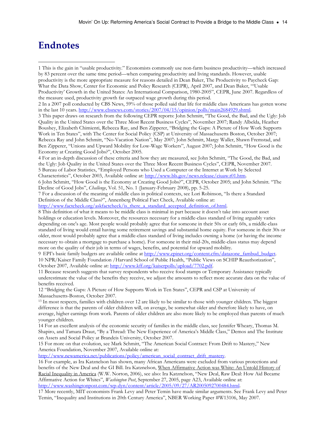## **Endnotes**

 $\overline{a}$ 

1 This is the gain in "usable productivity." Economists commonly use non-farm business productivity—which increased by 83 percent over the same time period—when comparing productivity and living standards. However, usable productivity is the more appropriate measure for reasons detailed in Dean Baker, The Productivity to Paycheck Gap: What the Data Show, Center for Economic and Policy Research (CEPR), April 2007, and Dean Baker, "'Usable Productivity' Growth in the United States: An International Comparison, 1980-2005", CEPR, June 2007. Regardless of the measure used, productivity growth far outpaced wage growth during this period.

2 In a 2007 poll conducted by CBS News, 59% of those polled said that life for middle class Americans has gotten worse in the last 10 years. http://www.cbsnews.com/stories/2007/04/15/opinion/polls/main2684929.shtml.

3 This paper draws on research from the following CEPR reports: John Schmitt, "The Good, the Bad, and the Ugly: Job Quality in the United States over the Three Most Recent Business Cycles", November 2007; Randy Albelda, Heather Boushey, Elizabeth Chimienti, Rebecca Ray, and Ben Zipperer, "Bridging the Gaps: A Picture of How Work Supports Work in Ten States", with The Center for Social Policy (CSP) at University of Massachusetts Boston, October 2007; Rebecca Ray and John Schmitt, "No-Vacation Nation", May 2007; John Schmitt, Margy Waller, Shawn Fremstad, and Ben Zipperer, "Unions and Upward Mobility for Low-Wage Workers", August 2007; John Schmitt, "How Good is the Economy at Creating Good Jobs?", October 2005.

4 For an in-depth discussion of these criteria and how they are measured, see John Schmitt, "The Good, the Bad, and the Ugly: Job Quality in the United States over the Three Most Recent Business Cycles", CEPR, November 2007. 5 Bureau of Labor Statistics, "Employed Persons who Used a Computer or the Internet at Work by Selected

Characteristics", October 2003, Available online at: http://www.bls.gov/news.release/ciuaw.t01.htm.

6 John Schmitt, "How Good is the Economy at Creating Good Jobs?", CEPR, October 2005; and John Schmitt. "The Decline of Good Jobs", Challenge, Vol. 51, No. 1 (January-February 2008), pp. 5-25.

7 For a discussion of the meaning of middle class in political contexts, see Lori Robinson, "Is there a Standard Definition of the Middle Class?", Annenberg Political Fact Check, Available online at:

http://www.factcheck.org/askfactcheck/is\_there\_a\_standard\_accepted\_definition\_of.html.

8 This definition of what it means to be middle class is minimal in part because it doesn't take into account asset holdings or education levels. Moreover, the resources necessary for a middle-class standard of living arguably varies depending on one's age. Most people would probably agree that for someone in their 50s or early 60s, a middle-class standard of living would entail having some retirement savings and substantial home equity. For someone in their 30s or older, most would probably agree that a middle-class standard of living includes owning a home (or having the income necessary to obtain a mortgage to purchase a home). For someone in their mid-20s, middle-class status may depend more on the quality of their job in terms of wages, benefits, and potential for upward mobility.

9 EPI's basic family budgets are available online at http://www.epinet.org/content.cfm/datazone\_fambud\_budget. 10 NPR/Kaiser Family Foundation /Harvard School of Public Health, "Public Views on SCHIP Reauthorization", October 2007, Available online at: http://www.kff.org/kaiserpolls/upload/7702.pdf.

11 Because research suggests that survey respondents who receive food stamps or Temporary Assistance typically underestimate the value of the benefits they receive, we adjust the amounts to reflect more accurate data on the value of benefits received.

12 "Bridging the Gaps: A Picture of How Supports Work in Ten States", CEPR and CSP at University of Massachusetts-Boston, October 2007.

<sup>13</sup> In most respects, families with children over 12 are likely to be similar to those with younger children. The biggest difference is that the parents of older children will, on average, be somewhat older and therefore likely to have, on average, higher earnings from work. Parents of older children are also more likely to be employed than parents of much younger children.

14 For an excellent analysis of the economic security of families in the middle class, see Jennifer Wheary, Thomas M. Shapiro, and Tamara Draut, "By a Thread: The New Experience of America's Middle Class," Demos and The Institute on Assets and Social Policy at Brandeis University, October 2007.

15 For more on that evolution, see Mark Schmitt, "The American Social Contract: From Drift to Mastery," New America Foundation, November 2007, Available online at:

http://www.newamerica.net/publications/policy/american\_social\_contract\_drift\_mastery.

16 For example, as Ira Katznelson has shown, many African Americans were excluded from various protections and benefits of the New Deal and the GI Bill. Ira Katznelson, When Affirmative Action was White: An Untold History of Racial Inequality in America (W.W. Norton, 2006), see also: Ira Katznelson, "New Deal, Raw Deal: How Aid Became Affirmative Action for Whites", Washington Post, September 27, 2005, page A23, Available online at: http://www.washingtonpost.com/wp-dyn/content/article/2005/09/27/AR2005092700484.html.

17 More recently, MIT economists Frank Levy and Peter Temin have made similar arguments. See Frank Levy and Peter Temin, "Inequality and Institutions in 20th Century America", NBER Working Paper #W13106, May 2007.